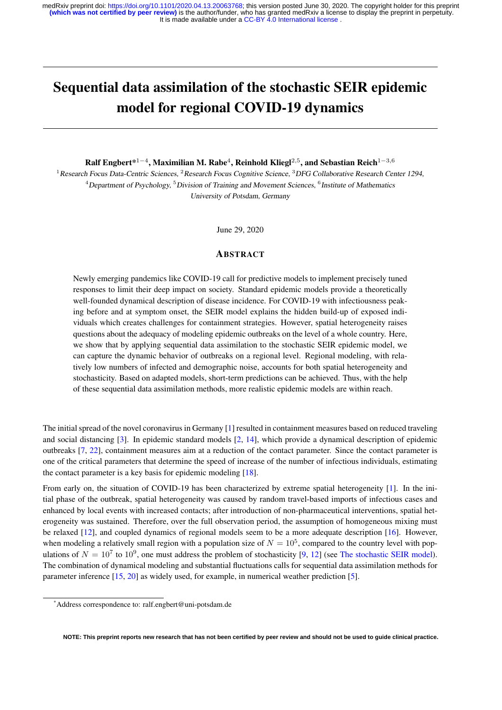# Sequential data assimilation of the stochastic SEIR epidemic model for regional COVID-19 dynamics

Ralf Engbert\* $^{1-4}$ , Maximilian M. Rabe $^4$ , Reinhold Kliegl $^{2,5}$ , and Sebastian Reich $^{1-3,6}$ 

<sup>1</sup> Research Focus Data-Centric Sciences, <sup>2</sup> Research Focus Cognitive Science, <sup>3</sup> DFG Collaborative Research Center 1294,  $^4$ Department of Psychology,  $^5$ Division of Training and Movement Sciences,  $^6$ Institute of Mathematics University of Potsdam, Germany

June 29, 2020

# ABSTRACT

Newly emerging pandemics like COVID-19 call for predictive models to implement precisely tuned responses to limit their deep impact on society. Standard epidemic models provide a theoretically well-founded dynamical description of disease incidence. For COVID-19 with infectiousness peaking before and at symptom onset, the SEIR model explains the hidden build-up of exposed individuals which creates challenges for containment strategies. However, spatial heterogeneity raises questions about the adequacy of modeling epidemic outbreaks on the level of a whole country. Here, we show that by applying sequential data assimilation to the stochastic SEIR epidemic model, we can capture the dynamic behavior of outbreaks on a regional level. Regional modeling, with relatively low numbers of infected and demographic noise, accounts for both spatial heterogeneity and stochasticity. Based on adapted models, short-term predictions can be achieved. Thus, with the help of these sequential data assimilation methods, more realistic epidemic models are within reach.

The initial spread of the novel coronavirus in Germany [\[1\]](#page-10-0) resulted in containment measures based on reduced traveling and social distancing [\[3\]](#page-10-1). In epidemic standard models [\[2,](#page-10-2) [14\]](#page-11-0), which provide a dynamical description of epidemic outbreaks [\[7,](#page-10-3) [22\]](#page-11-1), containment measures aim at a reduction of the contact parameter. Since the contact parameter is one of the critical parameters that determine the speed of increase of the number of infectious individuals, estimating the contact parameter is a key basis for epidemic modeling [\[18\]](#page-11-2).

From early on, the situation of COVID-19 has been characterized by extreme spatial heterogeneity [\[1\]](#page-10-0). In the initial phase of the outbreak, spatial heterogeneity was caused by random travel-based imports of infectious cases and enhanced by local events with increased contacts; after introduction of non-pharmaceutical interventions, spatial heterogeneity was sustained. Therefore, over the full observation period, the assumption of homogeneous mixing must be relaxed [\[12\]](#page-11-3), and coupled dynamics of regional models seem to be a more adequate description [\[16\]](#page-11-4). However, when modeling a relatively small region with a population size of  $N = 10^5$ , compared to the country level with populations of  $N = 10^7$  to  $10^9$ , one must address the problem of stochasticity [\[9,](#page-11-5) [12\]](#page-11-3) (see [The stochastic SEIR model\)](#page-7-0). The combination of dynamical modeling and substantial fluctuations calls for sequential data assimilation methods for parameter inference [\[15,](#page-11-6) [20\]](#page-11-7) as widely used, for example, in numerical weather prediction [\[5\]](#page-10-4).

**NOTE: This preprint reports new research that has not been certified by peer review and should not be used to guide clinical practice.**

<sup>\*</sup>Address correspondence to: ralf.engbert@uni-potsdam.de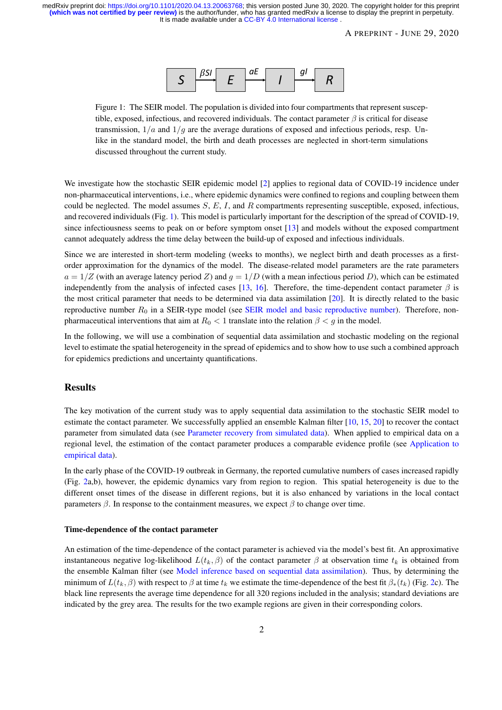

<span id="page-1-0"></span>Figure 1: The SEIR model. The population is divided into four compartments that represent susceptible, exposed, infectious, and recovered individuals. The contact parameter  $\beta$  is critical for disease transmission,  $1/a$  and  $1/g$  are the average durations of exposed and infectious periods, resp. Unlike in the standard model, the birth and death processes are neglected in short-term simulations discussed throughout the current study.

We investigate how the stochastic SEIR epidemic model [\[2\]](#page-10-2) applies to regional data of COVID-19 incidence under non-pharmaceutical interventions, i.e., where epidemic dynamics were confined to regions and coupling between them could be neglected. The model assumes  $S$ ,  $E$ ,  $I$ , and  $R$  compartments representing susceptible, exposed, infectious, and recovered individuals (Fig. [1\)](#page-1-0). This model is particularly important for the description of the spread of COVID-19, since infectiousness seems to peak on or before symptom onset [\[13\]](#page-11-8) and models without the exposed compartment cannot adequately address the time delay between the build-up of exposed and infectious individuals.

Since we are interested in short-term modeling (weeks to months), we neglect birth and death processes as a firstorder approximation for the dynamics of the model. The disease-related model parameters are the rate parameters  $a = 1/Z$  (with an average latency period Z) and  $q = 1/D$  (with a mean infectious period D), which can be estimated independently from the analysis of infected cases [\[13,](#page-11-8) [16\]](#page-11-4). Therefore, the time-dependent contact parameter  $\beta$  is the most critical parameter that needs to be determined via data assimilation [\[20\]](#page-11-7). It is directly related to the basic reproductive number  $R_0$  in a SEIR-type model (see [SEIR model and basic reproductive number\)](#page-7-1). Therefore, nonpharmaceutical interventions that aim at  $R_0 < 1$  translate into the relation  $\beta < g$  in the model.

In the following, we will use a combination of sequential data assimilation and stochastic modeling on the regional level to estimate the spatial heterogeneity in the spread of epidemics and to show how to use such a combined approach for epidemics predictions and uncertainty quantifications.

## Results

The key motivation of the current study was to apply sequential data assimilation to the stochastic SEIR model to estimate the contact parameter. We successfully applied an ensemble Kalman filter [\[10,](#page-11-9) [15,](#page-11-6) [20\]](#page-11-7) to recover the contact parameter from simulated data (see [Parameter recovery from simulated data\)](#page-9-0). When applied to empirical data on a regional level, the estimation of the contact parameter produces a comparable evidence profile (see [Application to](#page-9-1) [empirical data\)](#page-9-1).

In the early phase of the COVID-19 outbreak in Germany, the reported cumulative numbers of cases increased rapidly (Fig. [2a](#page-3-0),b), however, the epidemic dynamics vary from region to region. This spatial heterogeneity is due to the different onset times of the disease in different regions, but it is also enhanced by variations in the local contact parameters  $\beta$ . In response to the containment measures, we expect  $\beta$  to change over time.

#### Time-dependence of the contact parameter

An estimation of the time-dependence of the contact parameter is achieved via the model's best fit. An approximative instantaneous negative log-likelihood  $L(t_k, \beta)$  of the contact parameter  $\beta$  at observation time  $t_k$  is obtained from the ensemble Kalman filter (see [Model inference based on sequential data assimilation\)](#page-8-0). Thus, by determining the minimum of  $L(t_k, \beta)$  with respect to  $\beta$  at time  $t_k$  we estimate the time-dependence of the best fit  $\beta_*(t_k)$  (Fig. [2c](#page-3-0)). The black line represents the average time dependence for all 320 regions included in the analysis; standard deviations are indicated by the grey area. The results for the two example regions are given in their corresponding colors.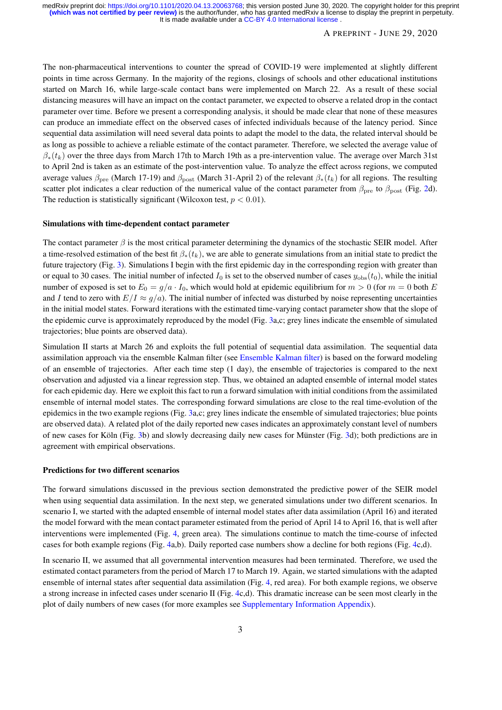## A PREPRINT - JUNE 29, 2020

The non-pharmaceutical interventions to counter the spread of COVID-19 were implemented at slightly different points in time across Germany. In the majority of the regions, closings of schools and other educational institutions started on March 16, while large-scale contact bans were implemented on March 22. As a result of these social distancing measures will have an impact on the contact parameter, we expected to observe a related drop in the contact parameter over time. Before we present a corresponding analysis, it should be made clear that none of these measures can produce an immediate effect on the observed cases of infected individuals because of the latency period. Since sequential data assimilation will need several data points to adapt the model to the data, the related interval should be as long as possible to achieve a reliable estimate of the contact parameter. Therefore, we selected the average value of  $\beta_*(t_k)$  over the three days from March 17th to March 19th as a pre-intervention value. The average over March 31st to April 2nd is taken as an estimate of the post-intervention value. To analyze the effect across regions, we computed average values  $\beta_{\text{pre}}$  (March 17-19) and  $\beta_{\text{post}}$  (March 31-April 2) of the relevant  $\beta_*(t_k)$  for all regions. The resulting scatter plot indicates a clear reduction of the numerical value of the contact parameter from  $\beta_{\text{pre}}$  to  $\beta_{\text{post}}$  (Fig. [2d](#page-3-0)). The reduction is statistically significant (Wilcoxon test,  $p < 0.01$ ).

#### Simulations with time-dependent contact parameter

The contact parameter  $\beta$  is the most critical parameter determining the dynamics of the stochastic SEIR model. After a time-resolved estimation of the best fit  $\beta_*(t_k)$ , we are able to generate simulations from an initial state to predict the future trajectory (Fig. [3\)](#page-4-0). Simulations I begin with the first epidemic day in the corresponding region with greater than or equal to 30 cases. The initial number of infected  $I_0$  is set to the observed number of cases  $y_{obs}(t_0)$ , while the initial number of exposed is set to  $E_0 = g/a \cdot I_0$ , which would hold at epidemic equilibrium for  $m > 0$  (for  $m = 0$  both E and I tend to zero with  $E/I \approx g/a$ ). The initial number of infected was disturbed by noise representing uncertainties in the initial model states. Forward iterations with the estimated time-varying contact parameter show that the slope of the epidemic curve is approximately reproduced by the model (Fig. [3a](#page-4-0),c; grey lines indicate the ensemble of simulated trajectories; blue points are observed data).

Simulation II starts at March 26 and exploits the full potential of sequential data assimilation. The sequential data assimilation approach via the ensemble Kalman filter (see [Ensemble Kalman filter\)](#page-8-1) is based on the forward modeling of an ensemble of trajectories. After each time step (1 day), the ensemble of trajectories is compared to the next observation and adjusted via a linear regression step. Thus, we obtained an adapted ensemble of internal model states for each epidemic day. Here we exploit this fact to run a forward simulation with initial conditions from the assimilated ensemble of internal model states. The corresponding forward simulations are close to the real time-evolution of the epidemics in the two example regions (Fig. [3a](#page-4-0),c; grey lines indicate the ensemble of simulated trajectories; blue points are observed data). A related plot of the daily reported new cases indicates an approximately constant level of numbers of new cases for Köln (Fig. [3b](#page-4-0)) and slowly decreasing daily new cases for Münster (Fig. [3d](#page-4-0)); both predictions are in agreement with empirical observations.

#### Predictions for two different scenarios

The forward simulations discussed in the previous section demonstrated the predictive power of the SEIR model when using sequential data assimilation. In the next step, we generated simulations under two different scenarios. In scenario I, we started with the adapted ensemble of internal model states after data assimilation (April 16) and iterated the model forward with the mean contact parameter estimated from the period of April 14 to April 16, that is well after interventions were implemented (Fig. [4,](#page-5-0) green area). The simulations continue to match the time-course of infected cases for both example regions (Fig. [4a](#page-5-0),b). Daily reported case numbers show a decline for both regions (Fig. [4c](#page-5-0),d).

In scenario II, we assumed that all governmental intervention measures had been terminated. Therefore, we used the estimated contact parameters from the period of March 17 to March 19. Again, we started simulations with the adapted ensemble of internal states after sequential data assimilation (Fig. [4,](#page-5-0) red area). For both example regions, we observe a strong increase in infected cases under scenario II (Fig. [4c](#page-5-0),d). This dramatic increase can be seen most clearly in the plot of daily numbers of new cases (for more examples see [Supplementary Information Appendix\)](#page-12-0).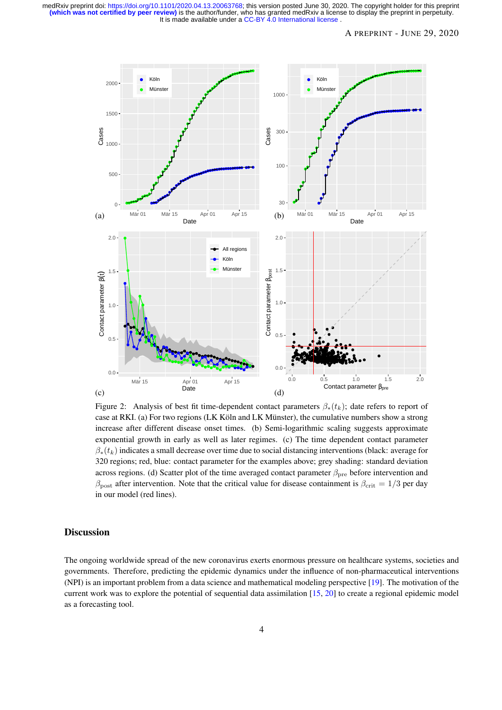<span id="page-3-0"></span>

Figure 2: Analysis of best fit time-dependent contact parameters  $\beta_*(t_k)$ ; date refers to report of case at RKI. (a) For two regions (LK Köln and LK Münster), the cumulative numbers show a strong increase after different disease onset times. (b) Semi-logarithmic scaling suggests approximate exponential growth in early as well as later regimes. (c) The time dependent contact parameter  $\beta_*(t_k)$  indicates a small decrease over time due to social distancing interventions (black: average for 320 regions; red, blue: contact parameter for the examples above; grey shading: standard deviation across regions. (d) Scatter plot of the time averaged contact parameter  $\beta_{\text{pre}}$  before intervention and  $\beta_{\text{post}}$  after intervention. Note that the critical value for disease containment is  $\beta_{\text{crit}} = 1/3$  per day in our model (red lines).

# Discussion

The ongoing worldwide spread of the new coronavirus exerts enormous pressure on healthcare systems, societies and governments. Therefore, predicting the epidemic dynamics under the influence of non-pharmaceutical interventions (NPI) is an important problem from a data science and mathematical modeling perspective [\[19\]](#page-11-10). The motivation of the current work was to explore the potential of sequential data assimilation [\[15,](#page-11-6) [20\]](#page-11-7) to create a regional epidemic model as a forecasting tool.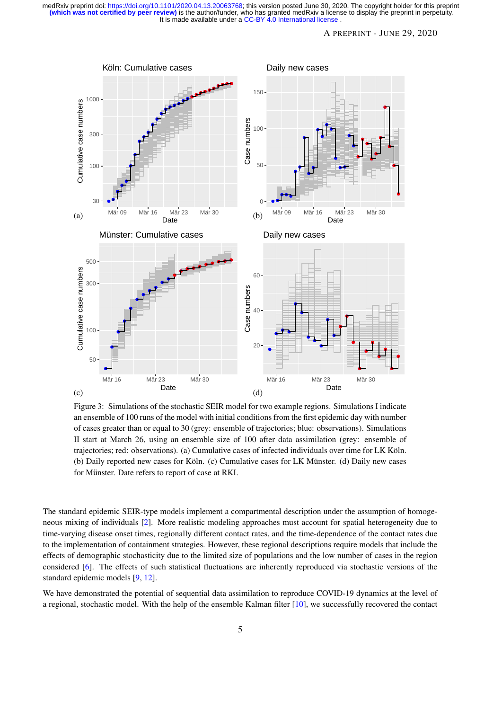## A PREPRINT - JUNE 29, 2020

<span id="page-4-0"></span>

Figure 3: Simulations of the stochastic SEIR model for two example regions. Simulations I indicate an ensemble of 100 runs of the model with initial conditions from the first epidemic day with number of cases greater than or equal to 30 (grey: ensemble of trajectories; blue: observations). Simulations II start at March 26, using an ensemble size of 100 after data assimilation (grey: ensemble of trajectories; red: observations). (a) Cumulative cases of infected individuals over time for LK Koln. ¨ (b) Daily reported new cases for Köln. (c) Cumulative cases for LK Münster. (d) Daily new cases for Münster. Date refers to report of case at RKI.

The standard epidemic SEIR-type models implement a compartmental description under the assumption of homogeneous mixing of individuals [\[2\]](#page-10-2). More realistic modeling approaches must account for spatial heterogeneity due to time-varying disease onset times, regionally different contact rates, and the time-dependence of the contact rates due to the implementation of containment strategies. However, these regional descriptions require models that include the effects of demographic stochasticity due to the limited size of populations and the low number of cases in the region considered [\[6\]](#page-10-5). The effects of such statistical fluctuations are inherently reproduced via stochastic versions of the standard epidemic models [\[9,](#page-11-5) [12\]](#page-11-3).

We have demonstrated the potential of sequential data assimilation to reproduce COVID-19 dynamics at the level of a regional, stochastic model. With the help of the ensemble Kalman filter [\[10\]](#page-11-9), we successfully recovered the contact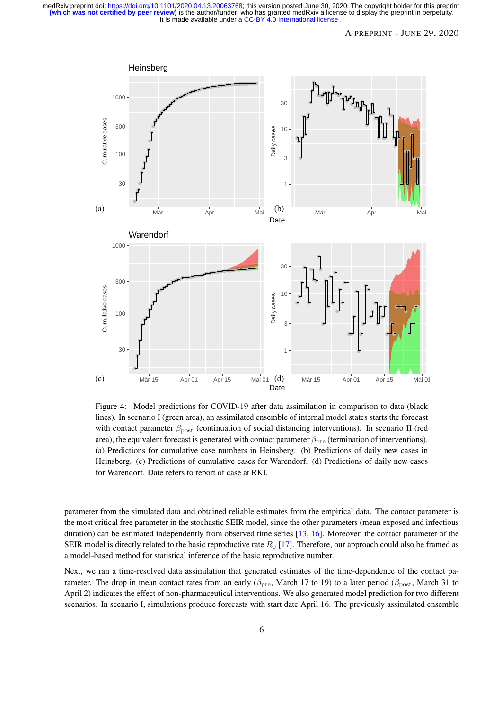## A PREPRINT - JUNE 29, 2020

<span id="page-5-0"></span>

Figure 4: Model predictions for COVID-19 after data assimilation in comparison to data (black lines). In scenario I (green area), an assimilated ensemble of internal model states starts the forecast with contact parameter  $\beta_{\text{post}}$  (continuation of social distancing interventions). In scenario II (red area), the equivalent forecast is generated with contact parameter  $\beta_{pre}$  (termination of interventions). (a) Predictions for cumulative case numbers in Heinsberg. (b) Predictions of daily new cases in Heinsberg. (c) Predictions of cumulative cases for Warendorf. (d) Predictions of daily new cases for Warendorf. Date refers to report of case at RKI.

parameter from the simulated data and obtained reliable estimates from the empirical data. The contact parameter is the most critical free parameter in the stochastic SEIR model, since the other parameters (mean exposed and infectious duration) can be estimated independently from observed time series [\[13,](#page-11-8) [16\]](#page-11-4). Moreover, the contact parameter of the SEIR model is directly related to the basic reproductive rate  $R_0$  [\[17\]](#page-11-11). Therefore, our approach could also be framed as a model-based method for statistical inference of the basic reproductive number.

Next, we ran a time-resolved data assimilation that generated estimates of the time-dependence of the contact parameter. The drop in mean contact rates from an early ( $\beta_{\text{pre}}$ , March 17 to 19) to a later period ( $\beta_{\text{post}}$ , March 31 to April 2) indicates the effect of non-pharmaceutical interventions. We also generated model prediction for two different scenarios. In scenario I, simulations produce forecasts with start date April 16. The previously assimilated ensemble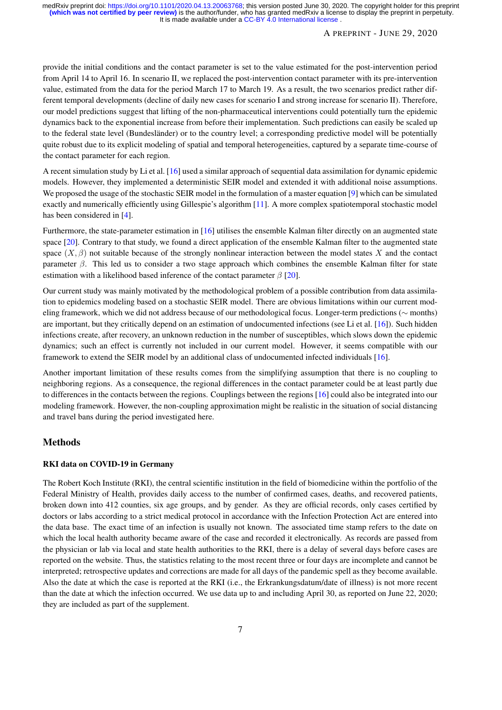## A PREPRINT - JUNE 29, 2020

provide the initial conditions and the contact parameter is set to the value estimated for the post-intervention period from April 14 to April 16. In scenario II, we replaced the post-intervention contact parameter with its pre-intervention value, estimated from the data for the period March 17 to March 19. As a result, the two scenarios predict rather different temporal developments (decline of daily new cases for scenario I and strong increase for scenario II). Therefore, our model predictions suggest that lifting of the non-pharmaceutical interventions could potentially turn the epidemic dynamics back to the exponential increase from before their implementation. Such predictions can easily be scaled up to the federal state level (Bundesländer) or to the country level; a corresponding predictive model will be potentially quite robust due to its explicit modeling of spatial and temporal heterogeneities, captured by a separate time-course of the contact parameter for each region.

A recent simulation study by Li et al. [\[16\]](#page-11-4) used a similar approach of sequential data assimilation for dynamic epidemic models. However, they implemented a deterministic SEIR model and extended it with additional noise assumptions. We proposed the usage of the stochastic SEIR model in the formulation of a master equation [\[9\]](#page-11-5) which can be simulated exactly and numerically efficiently using Gillespie's algorithm [\[11\]](#page-11-12). A more complex spatiotemporal stochastic model has been considered in [\[4\]](#page-10-6).

Furthermore, the state-parameter estimation in [\[16\]](#page-11-4) utilises the ensemble Kalman filter directly on an augmented state space [\[20\]](#page-11-7). Contrary to that study, we found a direct application of the ensemble Kalman filter to the augmented state space  $(X, \beta)$  not suitable because of the strongly nonlinear interaction between the model states X and the contact parameter  $\beta$ . This led us to consider a two stage approach which combines the ensemble Kalman filter for state estimation with a likelihood based inference of the contact parameter  $\beta$  [\[20\]](#page-11-7).

Our current study was mainly motivated by the methodological problem of a possible contribution from data assimilation to epidemics modeling based on a stochastic SEIR model. There are obvious limitations within our current modeling framework, which we did not address because of our methodological focus. Longer-term predictions (∼ months) are important, but they critically depend on an estimation of undocumented infections (see Li et al. [\[16\]](#page-11-4)). Such hidden infections create, after recovery, an unknown reduction in the number of susceptibles, which slows down the epidemic dynamics; such an effect is currently not included in our current model. However, it seems compatible with our framework to extend the SEIR model by an additional class of undocumented infected individuals [\[16\]](#page-11-4).

Another important limitation of these results comes from the simplifying assumption that there is no coupling to neighboring regions. As a consequence, the regional differences in the contact parameter could be at least partly due to differences in the contacts between the regions. Couplings between the regions [\[16\]](#page-11-4) could also be integrated into our modeling framework. However, the non-coupling approximation might be realistic in the situation of social distancing and travel bans during the period investigated here.

## Methods

## RKI data on COVID-19 in Germany

The Robert Koch Institute (RKI), the central scientific institution in the field of biomedicine within the portfolio of the Federal Ministry of Health, provides daily access to the number of confirmed cases, deaths, and recovered patients, broken down into 412 counties, six age groups, and by gender. As they are official records, only cases certified by doctors or labs according to a strict medical protocol in accordance with the Infection Protection Act are entered into the data base. The exact time of an infection is usually not known. The associated time stamp refers to the date on which the local health authority became aware of the case and recorded it electronically. As records are passed from the physician or lab via local and state health authorities to the RKI, there is a delay of several days before cases are reported on the website. Thus, the statistics relating to the most recent three or four days are incomplete and cannot be interpreted; retrospective updates and corrections are made for all days of the pandemic spell as they become available. Also the date at which the case is reported at the RKI (i.e., the Erkrankungsdatum/date of illness) is not more recent than the date at which the infection occurred. We use data up to and including April 30, as reported on June 22, 2020; they are included as part of the supplement.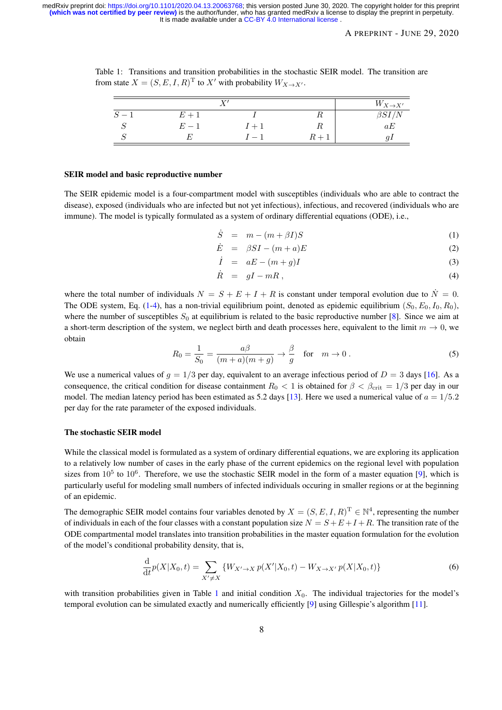<span id="page-7-3"></span>Table 1: Transitions and transition probabilities in the stochastic SEIR model. The transition are from state  $X = (S, E, I, R)^T$  to  $X'$  with probability  $W_{X \to X'}$ .

| τ۶ |       |       |       | $W_{X\to X'}$ |
|----|-------|-------|-------|---------------|
|    | $E+1$ |       | 1 L   | $\beta SI/N$  |
| w  | $E-1$ | $I+1$ |       | aE            |
|    | F.    | $-1$  | $R+1$ |               |

#### <span id="page-7-1"></span>SEIR model and basic reproductive number

The SEIR epidemic model is a four-compartment model with susceptibles (individuals who are able to contract the disease), exposed (individuals who are infected but not yet infectious), infectious, and recovered (individuals who are immune). The model is typically formulated as a system of ordinary differential equations (ODE), i.e.,

<span id="page-7-2"></span>
$$
\dot{S} = m - (m + \beta I)S \tag{1}
$$

$$
\dot{E} = \beta SI - (m+a)E \tag{2}
$$

$$
\dot{I} = aE - (m+g)I \tag{3}
$$

$$
\dot{R} = gI - mR \,, \tag{4}
$$

where the total number of individuals  $N = S + E + I + R$  is constant under temporal evolution due to  $N = 0$ . The ODE system, Eq. [\(1-4\)](#page-7-2), has a non-trivial equilibrium point, denoted as epidemic equilibrium  $(S_0, E_0, I_0, R_0)$ , where the number of susceptibles  $S_0$  at equilibrium is related to the basic reproductive number [\[8\]](#page-11-13). Since we aim at a short-term description of the system, we neglect birth and death processes here, equivalent to the limit  $m \to 0$ , we obtain

$$
R_0 = \frac{1}{S_0} = \frac{a\beta}{(m+a)(m+g)} \to \frac{\beta}{g} \quad \text{for} \quad m \to 0 \,. \tag{5}
$$

We use a numerical values of  $g = 1/3$  per day, equivalent to an average infectious period of  $D = 3$  days [\[16\]](#page-11-4). As a consequence, the critical condition for disease containment  $R_0 < 1$  is obtained for  $\beta < \beta_{\rm crit} = 1/3$  per day in our model. The median latency period has been estimated as 5.2 days [\[13\]](#page-11-8). Here we used a numerical value of  $a = 1/5.2$ per day for the rate parameter of the exposed individuals.

#### <span id="page-7-0"></span>The stochastic SEIR model

While the classical model is formulated as a system of ordinary differential equations, we are exploring its application to a relatively low number of cases in the early phase of the current epidemics on the regional level with population sizes from  $10^5$  to  $10^6$ . Therefore, we use the stochastic SEIR model in the form of a master equation [\[9\]](#page-11-5), which is particularly useful for modeling small numbers of infected individuals occuring in smaller regions or at the beginning of an epidemic.

The demographic SEIR model contains four variables denoted by  $X = (S, E, I, R)^T \in \mathbb{N}^4$ , representing the number of individuals in each of the four classes with a constant population size  $N = S + E + I + R$ . The transition rate of the ODE compartmental model translates into transition probabilities in the master equation formulation for the evolution of the model's conditional probability density, that is,

$$
\frac{d}{dt}p(X|X_0,t) = \sum_{X' \neq X} \{W_{X' \to X} p(X'|X_0,t) - W_{X \to X'} p(X|X_0,t)\}\tag{6}
$$

with transition probabilities given in Table [1](#page-7-3) and initial condition  $X_0$ . The individual trajectories for the model's temporal evolution can be simulated exactly and numerically efficiently [\[9\]](#page-11-5) using Gillespie's algorithm [\[11\]](#page-11-12).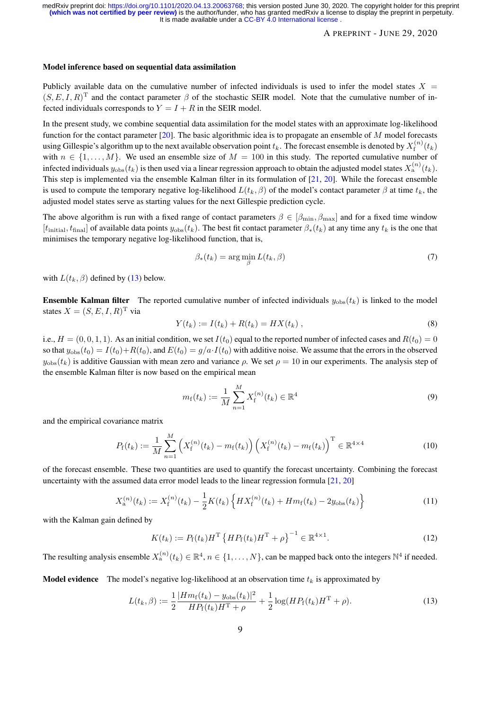## A PREPRINT - JUNE 29, 2020

#### <span id="page-8-0"></span>Model inference based on sequential data assimilation

Publicly available data on the cumulative number of infected individuals is used to infer the model states  $X =$  $(S, E, I, R)^T$  and the contact parameter  $\beta$  of the stochastic SEIR model. Note that the cumulative number of infected individuals corresponds to  $Y = I + R$  in the SEIR model.

In the present study, we combine sequential data assimilation for the model states with an approximate log-likelihood function for the contact parameter  $[20]$ . The basic algorithmic idea is to propagate an ensemble of M model forecasts using Gillespie's algorithm up to the next available observation point  $t_k$ . The forecast ensemble is denoted by  $X^{(n)}_{\rm f}$  $\int_{\rm f}^{\cdot(n)}(t_k)$ with  $n \in \{1, ..., M\}$ . We used an ensemble size of  $M = 100$  in this study. The reported cumulative number of infected individuals  $y_{obs}(t_k)$  is then used via a linear regression approach to obtain the adjusted model states  $X_a^{(n)}(t_k)$ . This step is implemented via the ensemble Kalman filter in its formulation of [\[21,](#page-11-14) [20\]](#page-11-7). While the forecast ensemble is used to compute the temporary negative log-likelihood  $L(t_k, \beta)$  of the model's contact parameter  $\beta$  at time  $t_k$ , the adjusted model states serve as starting values for the next Gillespie prediction cycle.

The above algorithm is run with a fixed range of contact parameters  $\beta \in [\beta_{\min}, \beta_{\max}]$  and for a fixed time window  $[t<sub>initial</sub>, t<sub>final</sub>]$  of available data points  $y<sub>obs</sub>(t<sub>k</sub>)$ . The best fit contact parameter  $\beta_*(t_k)$  at any time any  $t<sub>k</sub>$  is the one that minimises the temporary negative log-likelihood function, that is,

<span id="page-8-3"></span>
$$
\beta_*(t_k) = \arg\min_{\beta} L(t_k, \beta) \tag{7}
$$

with  $L(t_k, \beta)$  defined by [\(13\)](#page-8-2) below.

<span id="page-8-1"></span>**Ensemble Kalman filter** The reported cumulative number of infected individuals  $y_{obs}(t_k)$  is linked to the model states  $X = (S, E, I, R)^T$  via

$$
Y(t_k) := I(t_k) + R(t_k) = HX(t_k) \tag{8}
$$

i.e.,  $H = (0, 0, 1, 1)$ . As an initial condition, we set  $I(t_0)$  equal to the reported number of infected cases and  $R(t_0) = 0$ so that  $y_{obs}(t_0) = I(t_0) + R(t_0)$ , and  $E(t_0) = g/a \cdot I(t_0)$  with additive noise. We assume that the errors in the observed  $y_{\text{obs}}(t_k)$  is additive Gaussian with mean zero and variance  $\rho$ . We set  $\rho = 10$  in our experiments. The analysis step of the ensemble Kalman filter is now based on the empirical mean

$$
m_{\mathbf{f}}(t_k) := \frac{1}{M} \sum_{n=1}^{M} X_{\mathbf{f}}^{(n)}(t_k) \in \mathbb{R}^4
$$
\n(9)

and the empirical covariance matrix

$$
P_{\mathbf{f}}(t_k) := \frac{1}{M} \sum_{n=1}^{M} \left( X_{\mathbf{f}}^{(n)}(t_k) - m_{\mathbf{f}}(t_k) \right) \left( X_{\mathbf{f}}^{(n)}(t_k) - m_{\mathbf{f}}(t_k) \right)^{\mathrm{T}} \in \mathbb{R}^{4 \times 4}
$$
(10)

of the forecast ensemble. These two quantities are used to quantify the forecast uncertainty. Combining the forecast uncertainty with the assumed data error model leads to the linear regression formula [\[21,](#page-11-14) [20\]](#page-11-7)

$$
X_{\mathbf{a}}^{(n)}(t_k) := X_{\mathbf{f}}^{(n)}(t_k) - \frac{1}{2}K(t_k)\left\{H X_{\mathbf{f}}^{(n)}(t_k) + H m_{\mathbf{f}}(t_k) - 2y_{\text{obs}}(t_k)\right\}
$$
(11)

with the Kalman gain defined by

<span id="page-8-4"></span>
$$
K(t_k) := P_{\rm f}(t_k) H^{\rm T} \left\{ H P_{\rm f}(t_k) H^{\rm T} + \rho \right\}^{-1} \in \mathbb{R}^{4 \times 1}.
$$
 (12)

The resulting analysis ensemble  $X_a^{(n)}(t_k) \in \mathbb{R}^4$ ,  $n \in \{1, ..., N\}$ , can be mapped back onto the integers  $\mathbb{N}^4$  if needed.

**Model evidence** The model's negative log-likelihood at an observation time  $t_k$  is approximated by

<span id="page-8-2"></span>
$$
L(t_k, \beta) := \frac{1}{2} \frac{|Hm_f(t_k) - y_{obs}(t_k)|^2}{HP_f(t_k)H^{\mathrm{T}} + \rho} + \frac{1}{2} \log(HP_f(t_k)H^{\mathrm{T}} + \rho).
$$
\n(13)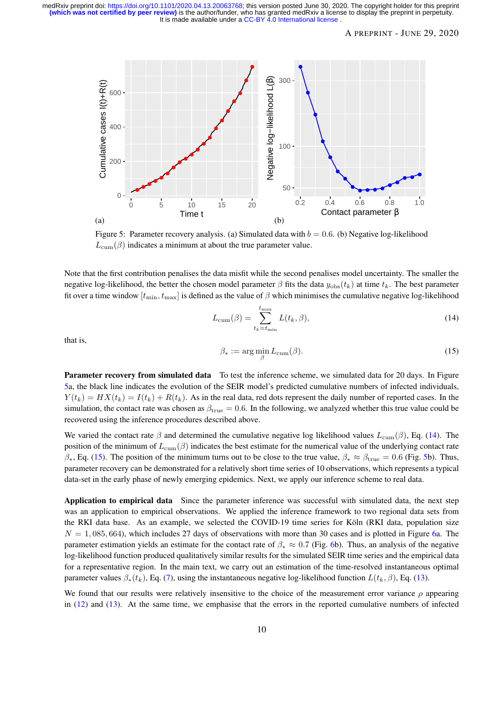## A PREPRINT - JUNE 29, 2020

<span id="page-9-2"></span>

Figure 5: Parameter recovery analysis. (a) Simulated data with  $b = 0.6$ . (b) Negative log-likelihood  $L_{\text{cum}}(\beta)$  indicates a minimum at about the true parameter value.

Note that the first contribution penalises the data misfit while the second penalises model uncertainty. The smaller the negative log-likelihood, the better the chosen model parameter  $\beta$  fits the data  $y_{\text{obs}}(t_k)$  at time  $t_k$ . The best parameter fit over a time window  $[t_{\min}, t_{\max}]$  is defined as the value of  $\beta$  which minimises the cumulative negative log-likelihood

<span id="page-9-3"></span>
$$
L_{\text{cum}}(\beta) = \sum_{t_k = t_{\text{min}}}^{t_{\text{max}}} L(t_k, \beta), \tag{14}
$$

that is,

<span id="page-9-4"></span>
$$
\beta_* := \arg\min_{\beta} L_{\text{cum}}(\beta). \tag{15}
$$

<span id="page-9-0"></span>Parameter recovery from simulated data To test the inference scheme, we simulated data for 20 days. In Figure [5a](#page-9-2), the black line indicates the evolution of the SEIR model's predicted cumulative numbers of infected individuals,  $Y(t_k) = HX(t_k) = I(t_k) + R(t_k)$ . As in the real data, red dots represent the daily number of reported cases. In the simulation, the contact rate was chosen as  $\beta_{true} = 0.6$ . In the following, we analyzed whether this true value could be recovered using the inference procedures described above.

We varied the contact rate  $\beta$  and determined the cumulative negative log likelihood values  $L_{\text{cum}}(\beta)$ , Eq. [\(14\)](#page-9-3). The position of the minimum of  $L_{\text{cum}}(\beta)$  indicates the best estimate for the numerical value of the underlying contact rate  $\beta_*$ , Eq. [\(15\)](#page-9-4). The position of the minimum turns out to be close to the true value,  $\beta_* \approx \beta_{\text{true}} = 0.6$  (Fig. [5b](#page-9-2)). Thus, parameter recovery can be demonstrated for a relatively short time series of 10 observations, which represents a typical data-set in the early phase of newly emerging epidemics. Next, we apply our inference scheme to real data.

<span id="page-9-1"></span>Application to empirical data Since the parameter inference was successful with simulated data, the next step was an application to empirical observations. We applied the inference framework to two regional data sets from the RKI data base. As an example, we selected the COVID-19 time series for Köln (RKI data, population size  $N = 1,085,664$ , which includes 27 days of observations with more than 30 cases and is plotted in Figure [6a](#page-10-7). The parameter estimation yields an estimate for the contact rate of  $\beta_* \approx 0.7$  (Fig. [6b](#page-10-7)). Thus, an analysis of the negative log-likelihood function produced qualitatively similar results for the simulated SEIR time series and the empirical data for a representative region. In the main text, we carry out an estimation of the time-resolved instantaneous optimal parameter values  $\beta_*(t_k)$ , Eq. [\(7\)](#page-8-3), using the instantaneous negative log-likelihood function  $L(t_k, \beta)$ , Eq. [\(13\)](#page-8-2).

We found that our results were relatively insensitive to the choice of the measurement error variance  $\rho$  appearing in [\(12\)](#page-8-4) and [\(13\)](#page-8-2). At the same time, we emphasise that the errors in the reported cumulative numbers of infected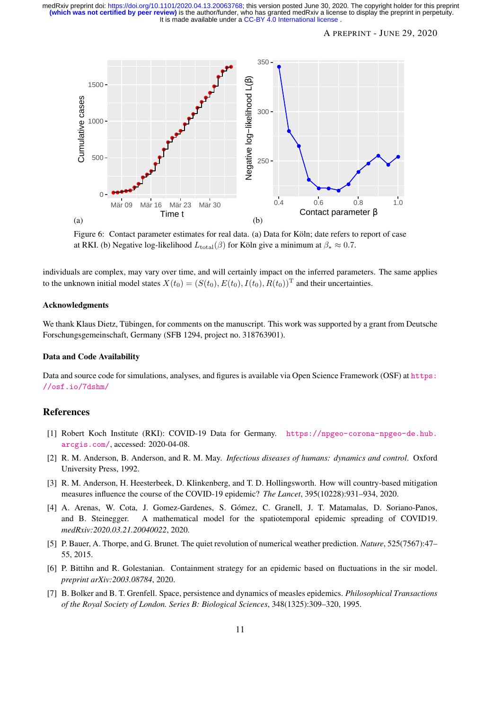## A PREPRINT - JUNE 29, 2020

<span id="page-10-7"></span>

Figure 6: Contact parameter estimates for real data. (a) Data for Köln; date refers to report of case at RKI. (b) Negative log-likelihood  $L_{\text{total}}(\beta)$  for Köln give a minimum at  $\beta_* \approx 0.7$ .

individuals are complex, may vary over time, and will certainly impact on the inferred parameters. The same applies to the unknown initial model states  $X(t_0) = (S(t_0), E(t_0), I(t_0), R(t_0))^T$  and their uncertainties.

#### Acknowledgments

We thank Klaus Dietz, Tübingen, for comments on the manuscript. This work was supported by a grant from Deutsche Forschungsgemeinschaft, Germany (SFB 1294, project no. 318763901).

#### Data and Code Availability

Data and source code for simulations, analyses, and figures is available via Open Science Framework (OSF) at [https:](https://osf.io/7dshm/) [//osf.io/7dshm/](https://osf.io/7dshm/)

## References

- <span id="page-10-0"></span>[1] Robert Koch Institute (RKI): COVID-19 Data for Germany. [https://npgeo-corona-npgeo-de.hub.](https://npgeo-corona-npgeo-de.hub.arcgis.com/) [arcgis.com/](https://npgeo-corona-npgeo-de.hub.arcgis.com/), accessed: 2020-04-08.
- <span id="page-10-2"></span>[2] R. M. Anderson, B. Anderson, and R. M. May. *Infectious diseases of humans: dynamics and control*. Oxford University Press, 1992.
- <span id="page-10-1"></span>[3] R. M. Anderson, H. Heesterbeek, D. Klinkenberg, and T. D. Hollingsworth. How will country-based mitigation measures influence the course of the COVID-19 epidemic? *The Lancet*, 395(10228):931–934, 2020.
- <span id="page-10-6"></span>[4] A. Arenas, W. Cota, J. Gomez-Gardenes, S. Gomez, C. Granell, J. T. Matamalas, D. Soriano-Panos, ´ and B. Steinegger. A mathematical model for the spatiotemporal epidemic spreading of COVID19. *medRxiv:2020.03.21.20040022*, 2020.
- <span id="page-10-4"></span>[5] P. Bauer, A. Thorpe, and G. Brunet. The quiet revolution of numerical weather prediction. *Nature*, 525(7567):47– 55, 2015.
- <span id="page-10-5"></span>[6] P. Bittihn and R. Golestanian. Containment strategy for an epidemic based on fluctuations in the sir model. *preprint arXiv:2003.08784*, 2020.
- <span id="page-10-3"></span>[7] B. Bolker and B. T. Grenfell. Space, persistence and dynamics of measles epidemics. *Philosophical Transactions of the Royal Society of London. Series B: Biological Sciences*, 348(1325):309–320, 1995.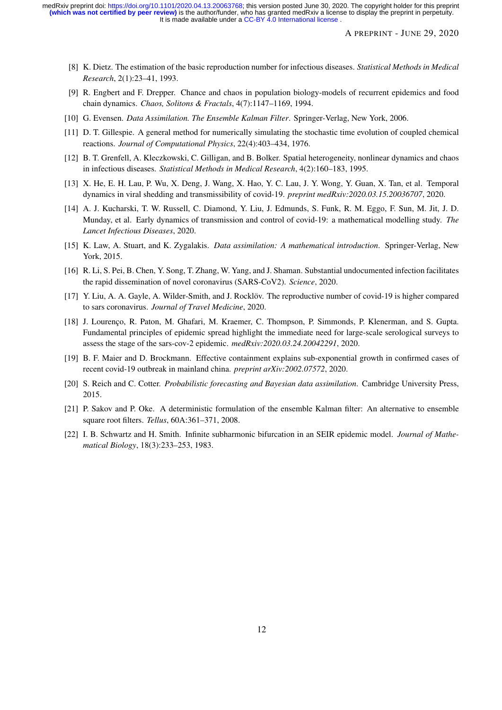- <span id="page-11-13"></span>[8] K. Dietz. The estimation of the basic reproduction number for infectious diseases. *Statistical Methods in Medical Research*, 2(1):23–41, 1993.
- <span id="page-11-5"></span>[9] R. Engbert and F. Drepper. Chance and chaos in population biology-models of recurrent epidemics and food chain dynamics. *Chaos, Solitons & Fractals*, 4(7):1147–1169, 1994.
- <span id="page-11-9"></span>[10] G. Evensen. *Data Assimilation. The Ensemble Kalman Filter*. Springer-Verlag, New York, 2006.
- <span id="page-11-12"></span>[11] D. T. Gillespie. A general method for numerically simulating the stochastic time evolution of coupled chemical reactions. *Journal of Computational Physics*, 22(4):403–434, 1976.
- <span id="page-11-3"></span>[12] B. T. Grenfell, A. Kleczkowski, C. Gilligan, and B. Bolker. Spatial heterogeneity, nonlinear dynamics and chaos in infectious diseases. *Statistical Methods in Medical Research*, 4(2):160–183, 1995.
- <span id="page-11-8"></span>[13] X. He, E. H. Lau, P. Wu, X. Deng, J. Wang, X. Hao, Y. C. Lau, J. Y. Wong, Y. Guan, X. Tan, et al. Temporal dynamics in viral shedding and transmissibility of covid-19. *preprint medRxiv:2020.03.15.20036707*, 2020.
- <span id="page-11-0"></span>[14] A. J. Kucharski, T. W. Russell, C. Diamond, Y. Liu, J. Edmunds, S. Funk, R. M. Eggo, F. Sun, M. Jit, J. D. Munday, et al. Early dynamics of transmission and control of covid-19: a mathematical modelling study. *The Lancet Infectious Diseases*, 2020.
- <span id="page-11-6"></span>[15] K. Law, A. Stuart, and K. Zygalakis. *Data assimilation: A mathematical introduction*. Springer-Verlag, New York, 2015.
- <span id="page-11-4"></span>[16] R. Li, S. Pei, B. Chen, Y. Song, T. Zhang, W. Yang, and J. Shaman. Substantial undocumented infection facilitates the rapid dissemination of novel coronavirus (SARS-CoV2). *Science*, 2020.
- <span id="page-11-11"></span>[17] Y. Liu, A. A. Gayle, A. Wilder-Smith, and J. Rocklöv. The reproductive number of covid-19 is higher compared to sars coronavirus. *Journal of Travel Medicine*, 2020.
- <span id="page-11-2"></span>[18] J. Lourenco, R. Paton, M. Ghafari, M. Kraemer, C. Thompson, P. Simmonds, P. Klenerman, and S. Gupta. Fundamental principles of epidemic spread highlight the immediate need for large-scale serological surveys to assess the stage of the sars-cov-2 epidemic. *medRxiv:2020.03.24.20042291*, 2020.
- <span id="page-11-10"></span>[19] B. F. Maier and D. Brockmann. Effective containment explains sub-exponential growth in confirmed cases of recent covid-19 outbreak in mainland china. *preprint arXiv:2002.07572*, 2020.
- <span id="page-11-7"></span>[20] S. Reich and C. Cotter. *Probabilistic forecasting and Bayesian data assimilation*. Cambridge University Press, 2015.
- <span id="page-11-14"></span>[21] P. Sakov and P. Oke. A deterministic formulation of the ensemble Kalman filter: An alternative to ensemble square root filters. *Tellus*, 60A:361–371, 2008.
- <span id="page-11-1"></span>[22] I. B. Schwartz and H. Smith. Infinite subharmonic bifurcation in an SEIR epidemic model. *Journal of Mathematical Biology*, 18(3):233–253, 1983.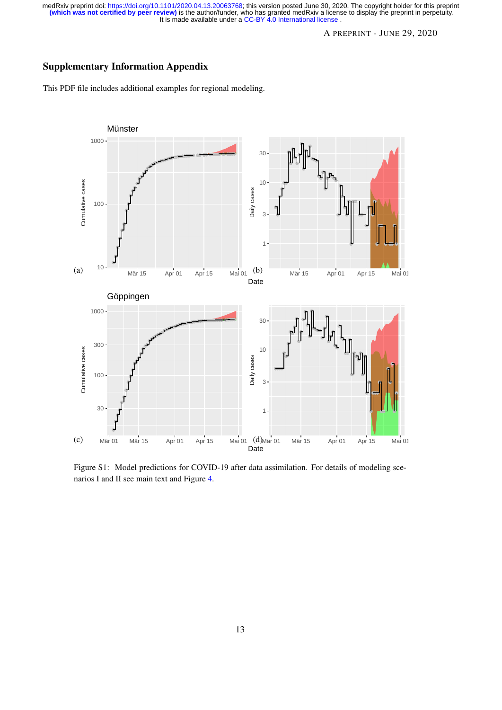# A PREPRINT - JUNE 29, 2020

# <span id="page-12-0"></span>Supplementary Information Appendix

This PDF file includes additional examples for regional modeling.



Figure S1: Model predictions for COVID-19 after data assimilation. For details of modeling scenarios I and II see main text and Figure [4.](#page-5-0)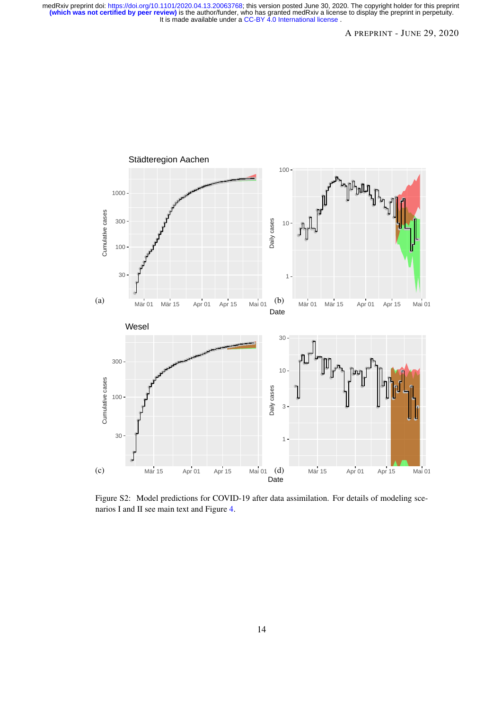

Figure S2: Model predictions for COVID-19 after data assimilation. For details of modeling scenarios I and II see main text and Figure [4.](#page-5-0)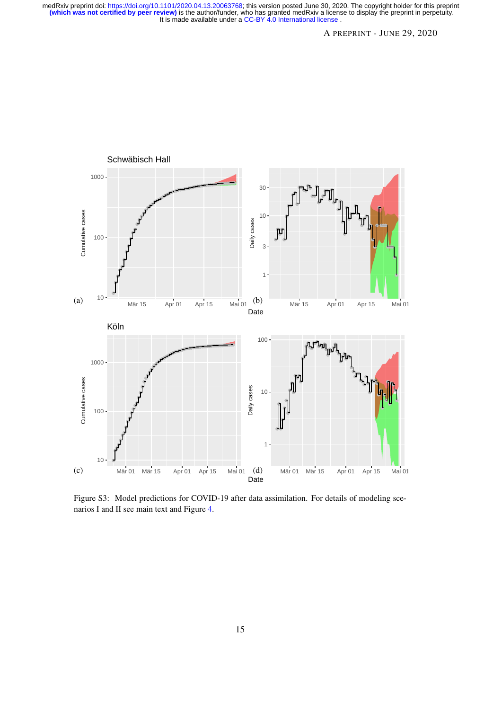

Figure S3: Model predictions for COVID-19 after data assimilation. For details of modeling scenarios I and II see main text and Figure [4.](#page-5-0)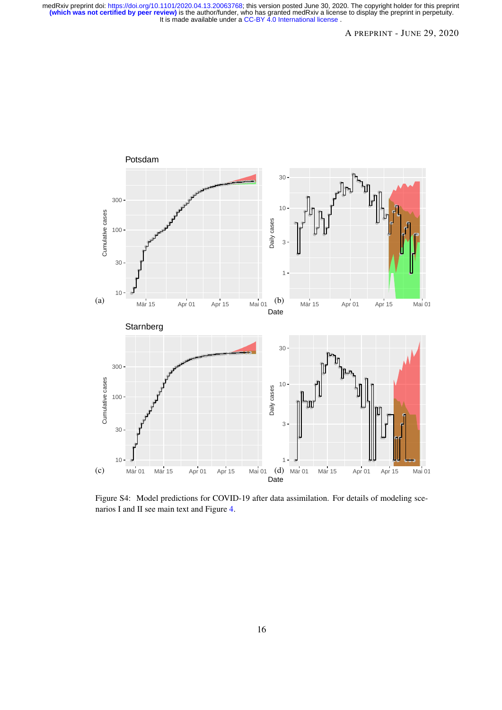

Figure S4: Model predictions for COVID-19 after data assimilation. For details of modeling scenarios I and II see main text and Figure [4.](#page-5-0)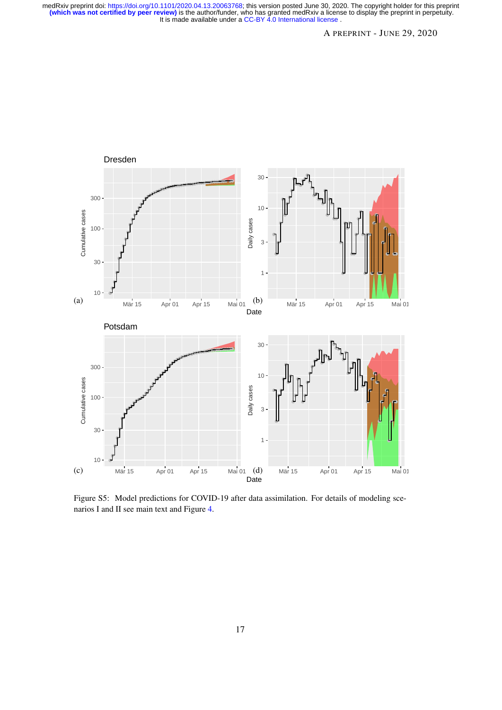

Figure S5: Model predictions for COVID-19 after data assimilation. For details of modeling scenarios I and II see main text and Figure [4.](#page-5-0)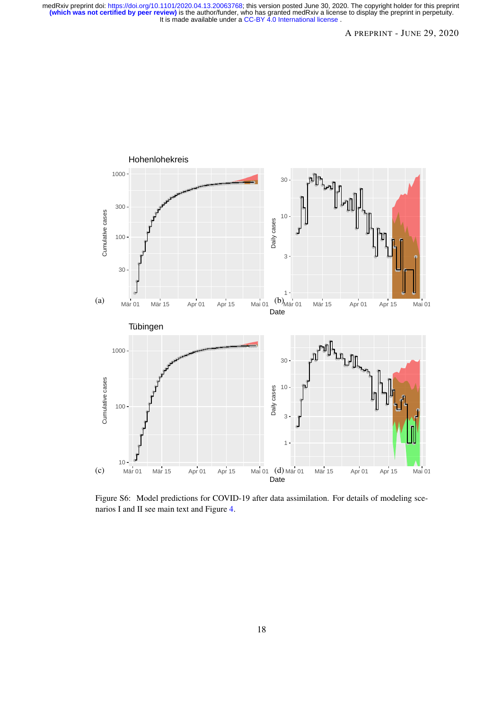

Figure S6: Model predictions for COVID-19 after data assimilation. For details of modeling scenarios I and II see main text and Figure [4.](#page-5-0)